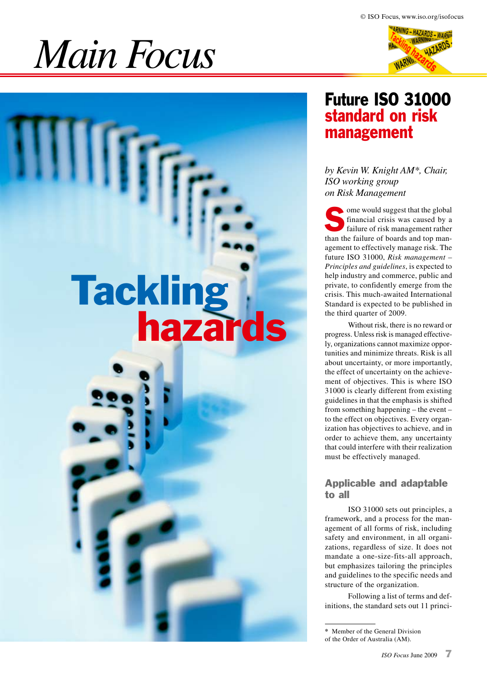# *Main Focus*

Tackling hazards



# Future ISO 31000 standard on risk management

*by Kevin W. Knight AM\*, Chair, ISO working group on Risk Management* 

some would suggest that the global financial crisis was caused by a failure of risk management rather than the failure of boards and top management to effectively manage risk. The future ISO 31000, *Risk management – Principles and guidelines*, is expected to help industry and commerce, public and private, to confidently emerge from the crisis. This much-awaited International Standard is expected to be published in the third quarter of 2009.

Without risk, there is no reward or progress. Unless risk is managed effectively, organizations cannot maximize opportunities and minimize threats. Risk is all about uncertainty, or more importantly, the effect of uncertainty on the achievement of objectives. This is where ISO 31000 is clearly different from existing guidelines in that the emphasis is shifted from something happening – the event – to the effect on objectives. Every organization has objectives to achieve, and in order to achieve them, any uncertainty that could interfere with their realization must be effectively managed.

#### Applicable and adaptable to all

ISO 31000 sets out principles, a framework, and a process for the management of all forms of risk, including safety and environment, in all organizations, regardless of size. It does not mandate a one-size-fits-all approach, but emphasizes tailoring the principles and guidelines to the specific needs and structure of the organization.

Following a list of terms and definitions, the standard sets out 11 princi-

**<sup>\*</sup>** Member of the General Division of the Order of Australia (AM).